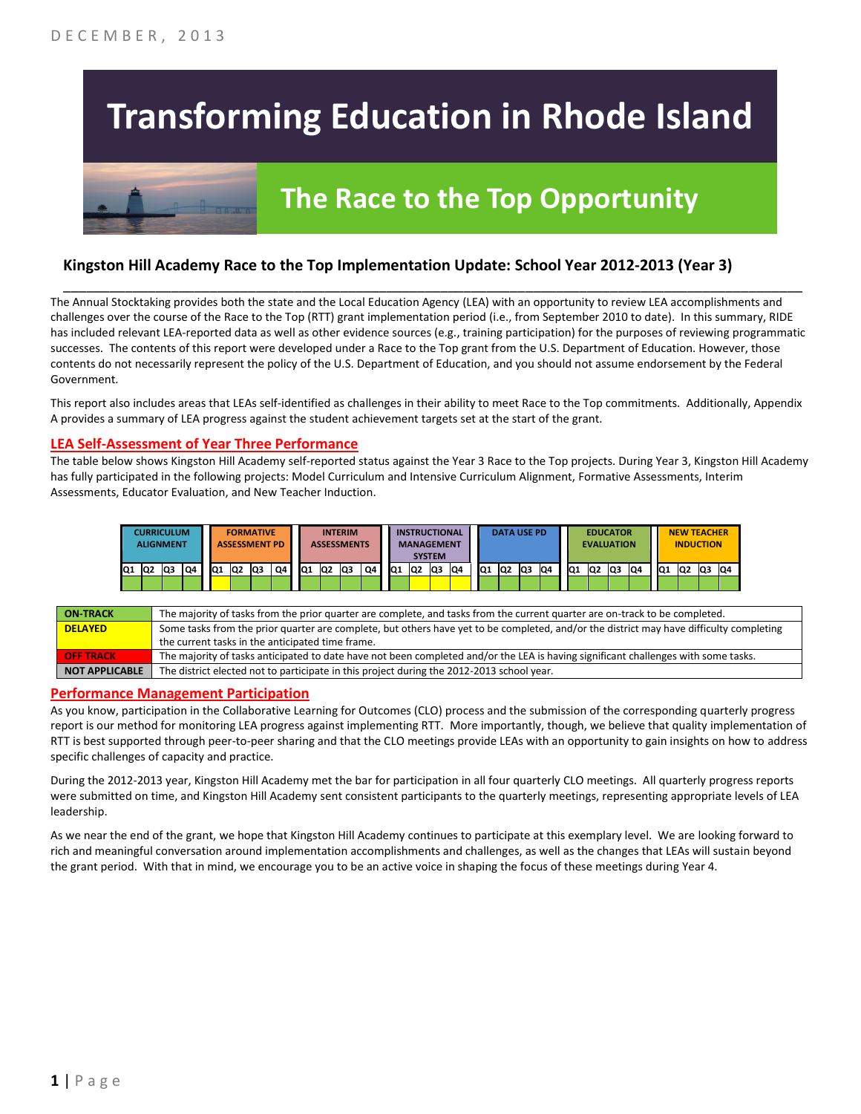# **Transforming Education in Rhode Island**

## **The Race to the Top Opportunity**

#### **Kingston Hill Academy Race to the Top Implementation Update: School Year 2012-2013 (Year 3)**

The Annual Stocktaking provides both the state and the Local Education Agency (LEA) with an opportunity to review LEA accomplishments and challenges over the course of the Race to the Top (RTT) grant implementation period (i.e., from September 2010 to date). In this summary, RIDE has included relevant LEA-reported data as well as other evidence sources (e.g., training participation) for the purposes of reviewing programmatic successes. The contents of this report were developed under a Race to the Top grant from the U.S. Department of Education. However, those contents do not necessarily represent the policy of the U.S. Department of Education, and you should not assume endorsement by the Federal Government.

\_\_\_\_\_\_\_\_\_\_\_\_\_\_\_\_\_\_\_\_\_\_\_\_\_\_\_\_\_\_\_\_\_\_\_\_\_\_\_\_\_\_\_\_\_\_\_\_\_\_\_\_\_\_\_\_\_\_\_\_\_\_\_\_\_\_\_\_\_\_\_\_\_\_\_\_\_\_\_\_\_\_\_\_\_\_\_\_\_\_\_\_\_\_\_\_

This report also includes areas that LEAs self-identified as challenges in their ability to meet Race to the Top commitments. Additionally, Appendix A provides a summary of LEA progress against the student achievement targets set at the start of the grant.

#### **LEA Self-Assessment of Year Three Performance**

The table below shows Kingston Hill Academy self-reported status against the Year 3 Race to the Top projects. During Year 3, Kingston Hill Academy has fully participated in the following projects: Model Curriculum and Intensive Curriculum Alignment, Formative Assessments, Interim Assessments, Educator Evaluation, and New Teacher Induction.

|       | <b>CURRICULUM</b><br><b>ALIGNMENT</b> |     |    |                 |                | <b>FORMATIVE</b><br><b>ASSESSMENT PD</b> |    |    |     | <b>INTERIM</b> | <b>ASSESSMENTS</b> |    |     | <b>SYSTEM</b>   | <b>INSTRUCTIONAL</b><br><b>MANAGEMENT</b> |     |     |    | <b>DATA USE PD</b> |    |                 | <b>EDUCATOR</b><br><b>EVALUATION</b> |                |    |     |                | <b>NEW TEACHER</b><br><b>INDUCTION</b> |     |
|-------|---------------------------------------|-----|----|-----------------|----------------|------------------------------------------|----|----|-----|----------------|--------------------|----|-----|-----------------|-------------------------------------------|-----|-----|----|--------------------|----|-----------------|--------------------------------------|----------------|----|-----|----------------|----------------------------------------|-----|
| Q1 Q2 |                                       | lQ3 | Q4 | IQ <sub>1</sub> | Q <sub>2</sub> | lQЗ                                      | Q4 | Q1 | IQ2 |                | lQ3                | Q4 | IQ1 | IQ <sub>2</sub> | Q3                                        | IQ4 | IQ1 | Q2 | lQ3                | Q4 | IQ <sub>1</sub> | Q <sub>2</sub>                       | Q <sub>3</sub> | Q4 | IQ1 | Q <sub>2</sub> | lQ3                                    | IQ4 |
|       |                                       |     |    |                 |                |                                          |    |    |     |                |                    |    |     |                 |                                           |     |     |    |                    |    |                 |                                      |                |    |     |                |                                        |     |

| <b>ON TRACK</b>       | The majority of tasks from the prior quarter are complete, and tasks from the current quarter are on-track to be completed.             |
|-----------------------|-----------------------------------------------------------------------------------------------------------------------------------------|
| <b>DELAYED</b>        | Some tasks from the prior quarter are complete, but others have yet to be completed, and/or the district may have difficulty completing |
|                       | the current tasks in the anticipated time frame.                                                                                        |
| <b>OFF TRACK</b>      | The majority of tasks anticipated to date have not been completed and/or the LEA is having significant challenges with some tasks.      |
| <b>NOT APPLICABLE</b> | The district elected not to participate in this project during the 2012-2013 school year.                                               |

#### **Performance Management Participation**

As you know, participation in the Collaborative Learning for Outcomes (CLO) process and the submission of the corresponding quarterly progress report is our method for monitoring LEA progress against implementing RTT. More importantly, though, we believe that quality implementation of RTT is best supported through peer-to-peer sharing and that the CLO meetings provide LEAs with an opportunity to gain insights on how to address specific challenges of capacity and practice.

During the 2012-2013 year, Kingston Hill Academy met the bar for participation in all four quarterly CLO meetings. All quarterly progress reports were submitted on time, and Kingston Hill Academy sent consistent participants to the quarterly meetings, representing appropriate levels of LEA leadership.

As we near the end of the grant, we hope that Kingston Hill Academy continues to participate at this exemplary level. We are looking forward to rich and meaningful conversation around implementation accomplishments and challenges, as well as the changes that LEAs will sustain beyond the grant period. With that in mind, we encourage you to be an active voice in shaping the focus of these meetings during Year 4.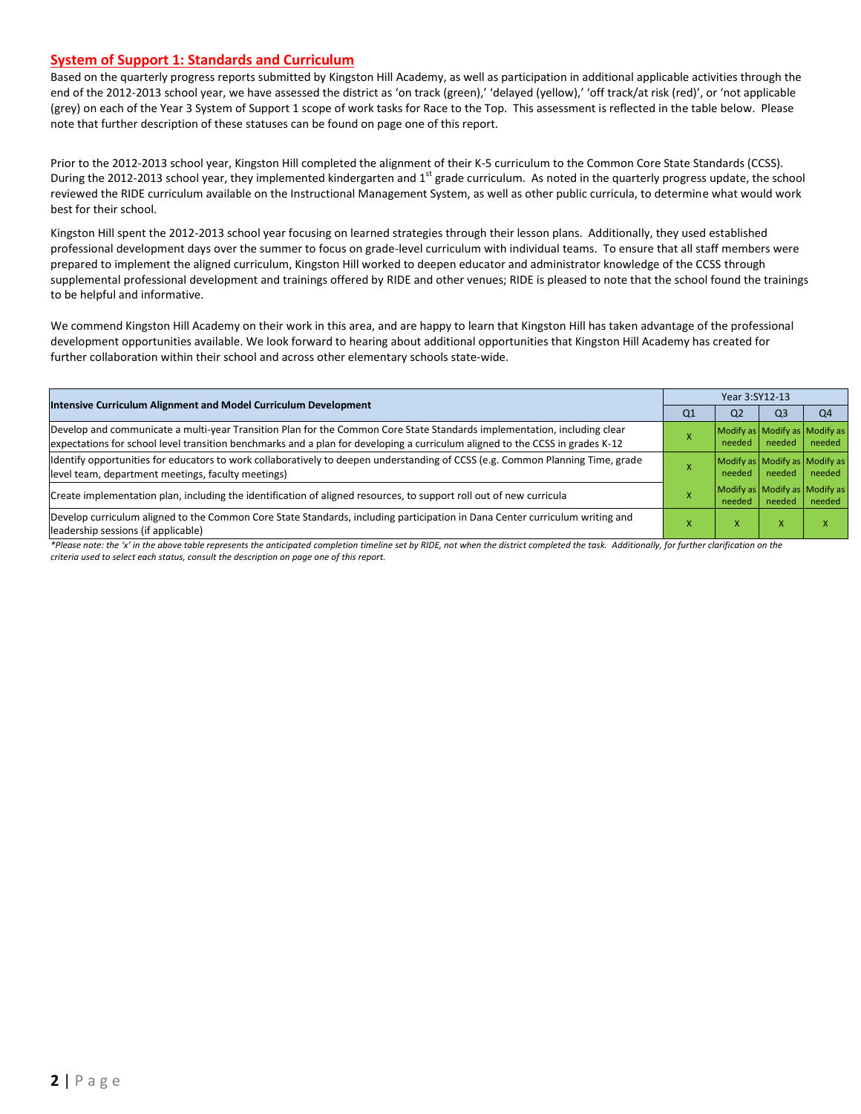#### **System of Support 1: Standards and Curriculum**

Based on the quarterly progress reports submitted by Kingston Hill Academy, as well as participation in additional applicable activities through the end of the 2012-2013 school year, we have assessed the district as 'on track (green),' 'delayed (yellow),' 'off track/at risk (red)', or 'not applicable (grey) on each of the Year 3 System of Support 1 scope of work tasks for Race to the Top. This assessment is reflected in the table below. Please note that further description of these statuses can be found on page one of this report.

Prior to the 2012-2013 school year, Kingston Hill completed the alignment of their K-5 curriculum to the Common Core State Standards (CCSS). During the 2012-2013 school year, they implemented kindergarten and  $1<sup>st</sup>$  grade curriculum. As noted in the quarterly progress update, the school reviewed the RIDE curriculum available on the Instructional Management System, as well as other public curricula, to determine what would work best for their school.

Kingston Hill spent the 2012-2013 school year focusing on learned strategies through their lesson plans. Additionally, they used established professional development days over the summer to focus on grade-level curriculum with individual teams. To ensure that all staff members were prepared to implement the aligned curriculum, Kingston Hill worked to deepen educator and administrator knowledge of the CCSS through supplemental professional development and trainings offered by RIDE and other venues; RIDE is pleased to note that the school found the trainings to be helpful and informative.

We commend Kingston Hill Academy on their work in this area, and are happy to learn that Kingston Hill has taken advantage of the professional development opportunities available. We look forward to hearing about additional opportunities that Kingston Hill Academy has created for further collaboration within their school and across other elementary schools state-wide.

| <b>Intensive Curriculum Alignment and Model Curriculum Development</b>                                                                                                                                                                                    |    | Year 3:SY12-13                          |        |                |  |  |  |
|-----------------------------------------------------------------------------------------------------------------------------------------------------------------------------------------------------------------------------------------------------------|----|-----------------------------------------|--------|----------------|--|--|--|
|                                                                                                                                                                                                                                                           | Q1 | Q <sub>2</sub>                          | Q3     | Q <sub>4</sub> |  |  |  |
| Develop and communicate a multi-year Transition Plan for the Common Core State Standards implementation, including clear<br>expectations for school level transition benchmarks and a plan for developing a curriculum aligned to the CCSS in grades K-12 |    | Modify as Modify as Modify as<br>needed | needed | needed         |  |  |  |
| Identify opportunities for educators to work collaboratively to deepen understanding of CCSS (e.g. Common Planning Time, grade<br>level team, department meetings, faculty meetings)                                                                      |    | Modify as Modify as Modify as<br>needed | needed | needed         |  |  |  |
| Create implementation plan, including the identification of aligned resources, to support roll out of new curricula                                                                                                                                       |    | Modify as Modify as Modify as<br>needed | needed | needed         |  |  |  |
| Develop curriculum aligned to the Common Core State Standards, including participation in Dana Center curriculum writing and<br>leadership sessions (if applicable)                                                                                       |    | v                                       |        |                |  |  |  |

*\*Please note: the 'x' in the above table represents the anticipated completion timeline set by RIDE, not when the district completed the task. Additionally, for further clarification on the criteria used to select each status, consult the description on page one of this report.*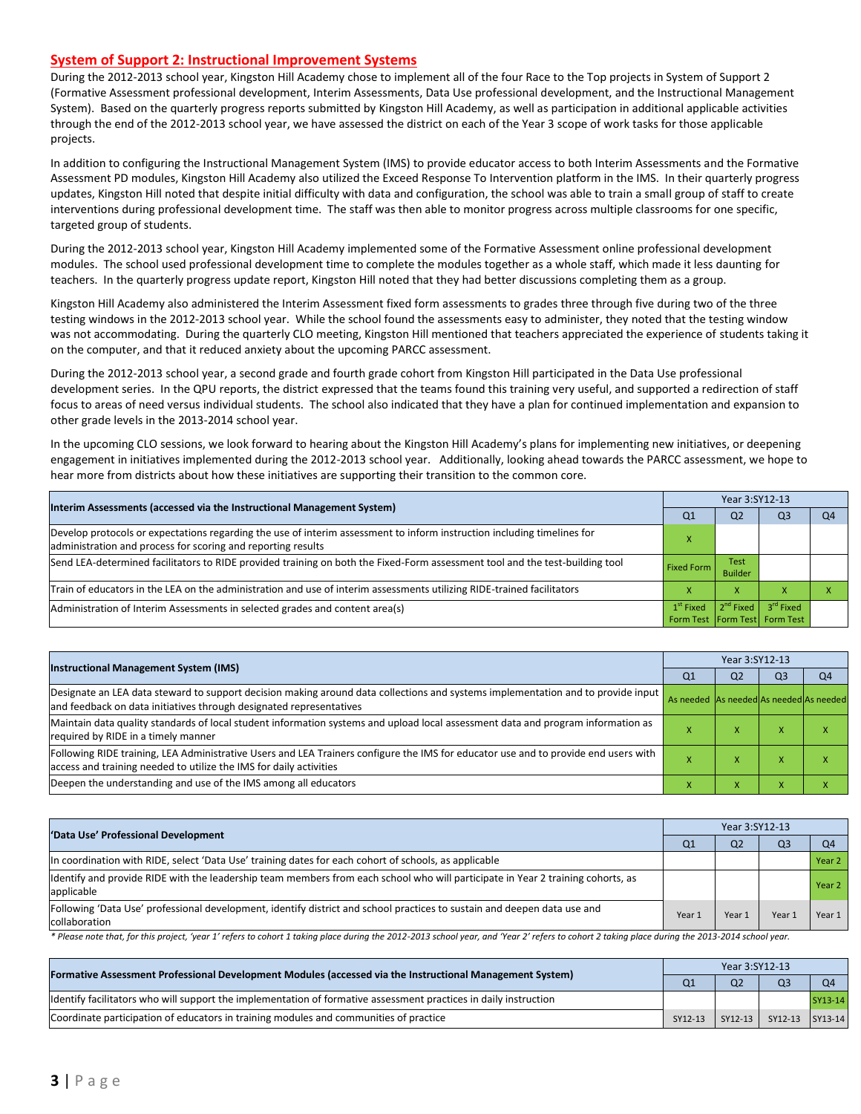#### **System of Support 2: Instructional Improvement Systems**

During the 2012-2013 school year, Kingston Hill Academy chose to implement all of the four Race to the Top projects in System of Support 2 (Formative Assessment professional development, Interim Assessments, Data Use professional development, and the Instructional Management System). Based on the quarterly progress reports submitted by Kingston Hill Academy, as well as participation in additional applicable activities through the end of the 2012-2013 school year, we have assessed the district on each of the Year 3 scope of work tasks for those applicable projects.

In addition to configuring the Instructional Management System (IMS) to provide educator access to both Interim Assessments and the Formative Assessment PD modules, Kingston Hill Academy also utilized the Exceed Response To Intervention platform in the IMS. In their quarterly progress updates, Kingston Hill noted that despite initial difficulty with data and configuration, the school was able to train a small group of staff to create interventions during professional development time. The staff was then able to monitor progress across multiple classrooms for one specific, targeted group of students.

During the 2012-2013 school year, Kingston Hill Academy implemented some of the Formative Assessment online professional development modules. The school used professional development time to complete the modules together as a whole staff, which made it less daunting for teachers. In the quarterly progress update report, Kingston Hill noted that they had better discussions completing them as a group.

Kingston Hill Academy also administered the Interim Assessment fixed form assessments to grades three through five during two of the three testing windows in the 2012-2013 school year. While the school found the assessments easy to administer, they noted that the testing window was not accommodating. During the quarterly CLO meeting, Kingston Hill mentioned that teachers appreciated the experience of students taking it on the computer, and that it reduced anxiety about the upcoming PARCC assessment.

During the 2012-2013 school year, a second grade and fourth grade cohort from Kingston Hill participated in the Data Use professional development series. In the QPU reports, the district expressed that the teams found this training very useful, and supported a redirection of staff focus to areas of need versus individual students. The school also indicated that they have a plan for continued implementation and expansion to other grade levels in the 2013-2014 school year.

In the upcoming CLO sessions, we look forward to hearing about the Kingston Hill Academy's plans for implementing new initiatives, or deepening engagement in initiatives implemented during the 2012-2013 school year. Additionally, looking ahead towards the PARCC assessment, we hope to hear more from districts about how these initiatives are supporting their transition to the common core.

| Interim Assessments (accessed via the Instructional Management System)                                                                                                                  | Year 3:SY12-13                                      |                               |                       |                |  |  |
|-----------------------------------------------------------------------------------------------------------------------------------------------------------------------------------------|-----------------------------------------------------|-------------------------------|-----------------------|----------------|--|--|
|                                                                                                                                                                                         | Q <sub>1</sub>                                      | Q <sub>2</sub>                | Q <sub>3</sub>        | O <sub>4</sub> |  |  |
| Develop protocols or expectations regarding the use of interim assessment to inform instruction including timelines for<br>administration and process for scoring and reporting results |                                                     |                               |                       |                |  |  |
| Send LEA-determined facilitators to RIDE provided training on both the Fixed-Form assessment tool and the test-building tool                                                            | <b>Fixed Form</b>                                   | <b>Test</b><br><b>Builder</b> |                       |                |  |  |
| Train of educators in the LEA on the administration and use of interim assessments utilizing RIDE-trained facilitators                                                                  |                                                     | x                             |                       |                |  |  |
| Administration of Interim Assessments in selected grades and content area(s)                                                                                                            | $1^{\rm st}$ Fixed<br>Form Test Form Test Form Test | 2 <sup>nd</sup> Fixed         | 3 <sup>rd</sup> Fixed |                |  |  |

|                                                                                                                                                                                                           | Year 3:SY12-13                          |                |                |                |  |  |
|-----------------------------------------------------------------------------------------------------------------------------------------------------------------------------------------------------------|-----------------------------------------|----------------|----------------|----------------|--|--|
| <b>Instructional Management System (IMS)</b>                                                                                                                                                              | Q <sub>1</sub>                          | Q <sub>2</sub> | Q <sub>3</sub> | Q <sub>4</sub> |  |  |
| Designate an LEA data steward to support decision making around data collections and systems implementation and to provide input<br>and feedback on data initiatives through designated representatives   | As needed As needed As needed As needed |                |                |                |  |  |
| Maintain data quality standards of local student information systems and upload local assessment data and program information as<br>required by RIDE in a timely manner                                   |                                         |                |                |                |  |  |
| Following RIDE training, LEA Administrative Users and LEA Trainers configure the IMS for educator use and to provide end users with<br>access and training needed to utilize the IMS for daily activities |                                         |                |                | ↗              |  |  |
| Deepen the understanding and use of the IMS among all educators                                                                                                                                           |                                         |                | ж              |                |  |  |

| 'Data Use' Professional Development                                                                                                           |        |                | Year 3:SY12-13 |                   |  |  |  |  |
|-----------------------------------------------------------------------------------------------------------------------------------------------|--------|----------------|----------------|-------------------|--|--|--|--|
|                                                                                                                                               | Q1     | Q <sub>2</sub> | Q <sub>3</sub> | Q <sub>4</sub>    |  |  |  |  |
| In coordination with RIDE, select 'Data Use' training dates for each cohort of schools, as applicable                                         |        |                |                | Year <sub>2</sub> |  |  |  |  |
| Identify and provide RIDE with the leadership team members from each school who will participate in Year 2 training cohorts, as<br>applicable |        |                |                | Year <sub>2</sub> |  |  |  |  |
| Following 'Data Use' professional development, identify district and school practices to sustain and deepen data use and<br>collaboration     | Year 1 | Year 1         | Year 1         | Year 1            |  |  |  |  |

\* Please note that, for this project, 'year 1' refers to cohort 1 taking place during the 2012-2013 school year, and 'Year 2' refers to cohort 2 taking place during the 2013-2014 school year.

| [Formative Assessment Professional Development Modules (accessed via the Instructional Management System)        |                |                |                 |                |
|------------------------------------------------------------------------------------------------------------------|----------------|----------------|-----------------|----------------|
|                                                                                                                  | Q <sub>1</sub> | Q <sub>2</sub> | Q <sub>3</sub>  | Q <sub>4</sub> |
| ldentify facilitators who will support the implementation of formative assessment practices in daily instruction |                |                |                 | SY13-14        |
| Coordinate participation of educators in training modules and communities of practice                            | SY12-13        | SY12-13        | SY12-13 SY13-14 |                |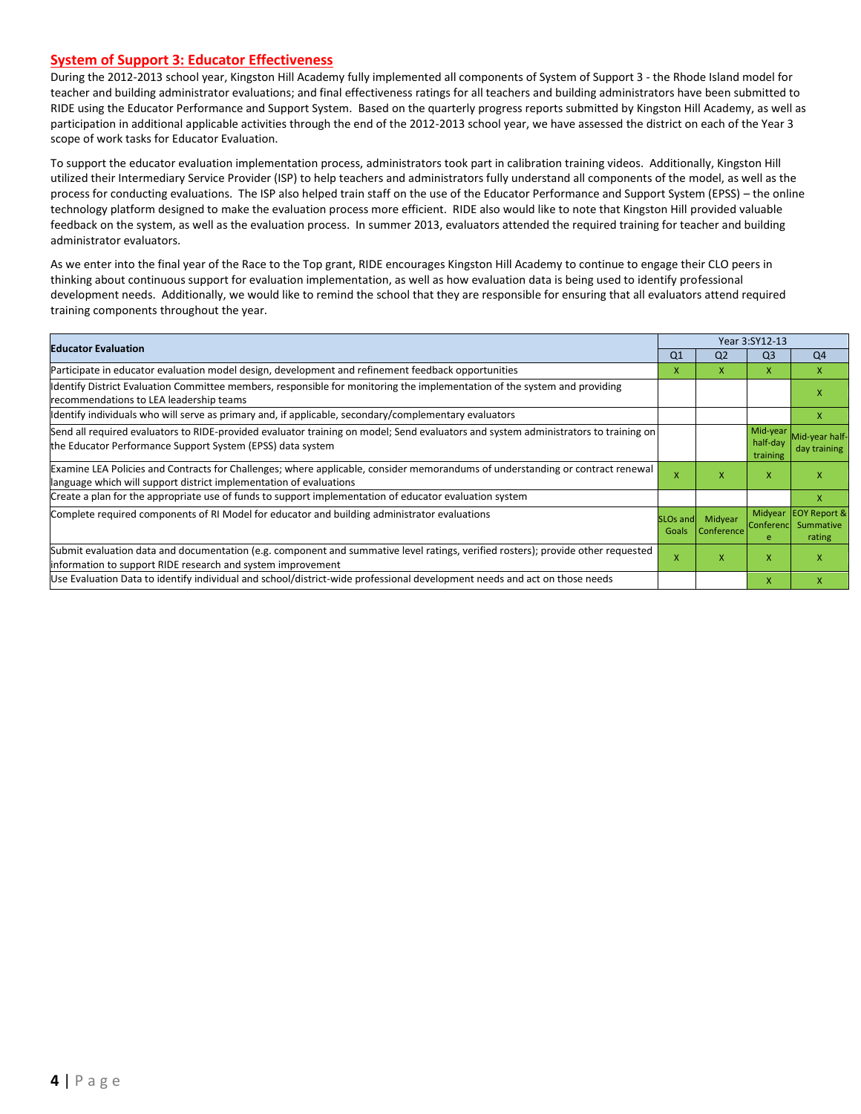#### **System of Support 3: Educator Effectiveness**

During the 2012-2013 school year, Kingston Hill Academy fully implemented all components of System of Support 3 - the Rhode Island model for teacher and building administrator evaluations; and final effectiveness ratings for all teachers and building administrators have been submitted to RIDE using the Educator Performance and Support System. Based on the quarterly progress reports submitted by Kingston Hill Academy, as well as participation in additional applicable activities through the end of the 2012-2013 school year, we have assessed the district on each of the Year 3 scope of work tasks for Educator Evaluation.

To support the educator evaluation implementation process, administrators took part in calibration training videos. Additionally, Kingston Hill utilized their Intermediary Service Provider (ISP) to help teachers and administrators fully understand all components of the model, as well as the process for conducting evaluations. The ISP also helped train staff on the use of the Educator Performance and Support System (EPSS) – the online technology platform designed to make the evaluation process more efficient. RIDE also would like to note that Kingston Hill provided valuable feedback on the system, as well as the evaluation process. In summer 2013, evaluators attended the required training for teacher and building administrator evaluators.

As we enter into the final year of the Race to the Top grant, RIDE encourages Kingston Hill Academy to continue to engage their CLO peers in thinking about continuous support for evaluation implementation, as well as how evaluation data is being used to identify professional development needs. Additionally, we would like to remind the school that they are responsible for ensuring that all evaluators attend required training components throughout the year.

| <b>Educator Evaluation</b>                                                                                                                                                                           | Q <sub>1</sub> | Q <sub>2</sub>                 | Q <sub>3</sub>                   | Q <sub>4</sub>                                 |
|------------------------------------------------------------------------------------------------------------------------------------------------------------------------------------------------------|----------------|--------------------------------|----------------------------------|------------------------------------------------|
| Participate in educator evaluation model design, development and refinement feedback opportunities                                                                                                   | X              | x                              | x                                | X                                              |
| Identify District Evaluation Committee members, responsible for monitoring the implementation of the system and providing<br>recommendations to LEA leadership teams                                 |                |                                |                                  |                                                |
| Identify individuals who will serve as primary and, if applicable, secondary/complementary evaluators                                                                                                |                |                                |                                  |                                                |
| Send all required evaluators to RIDE-provided evaluator training on model; Send evaluators and system administrators to training on<br>the Educator Performance Support System (EPSS) data system    |                |                                | Mid-year<br>half-day<br>training | Mid-year half-<br>day training                 |
| Examine LEA Policies and Contracts for Challenges; where applicable, consider memorandums of understanding or contract renewal<br>language which will support district implementation of evaluations | X              | x                              | X                                |                                                |
| Create a plan for the appropriate use of funds to support implementation of educator evaluation system                                                                                               |                |                                |                                  | x                                              |
| Complete required components of RI Model for educator and building administrator evaluations                                                                                                         | Goals          | SLOs and Midyear<br>Conference | Midyear<br><b>Conferenc</b><br>e | <b>EOY Report &amp;</b><br>Summative<br>rating |
| Submit evaluation data and documentation (e.g. component and summative level ratings, verified rosters); provide other requested<br>information to support RIDE research and system improvement      | X              | x                              | X                                |                                                |
| Use Evaluation Data to identify individual and school/district-wide professional development needs and act on those needs                                                                            |                |                                | X                                |                                                |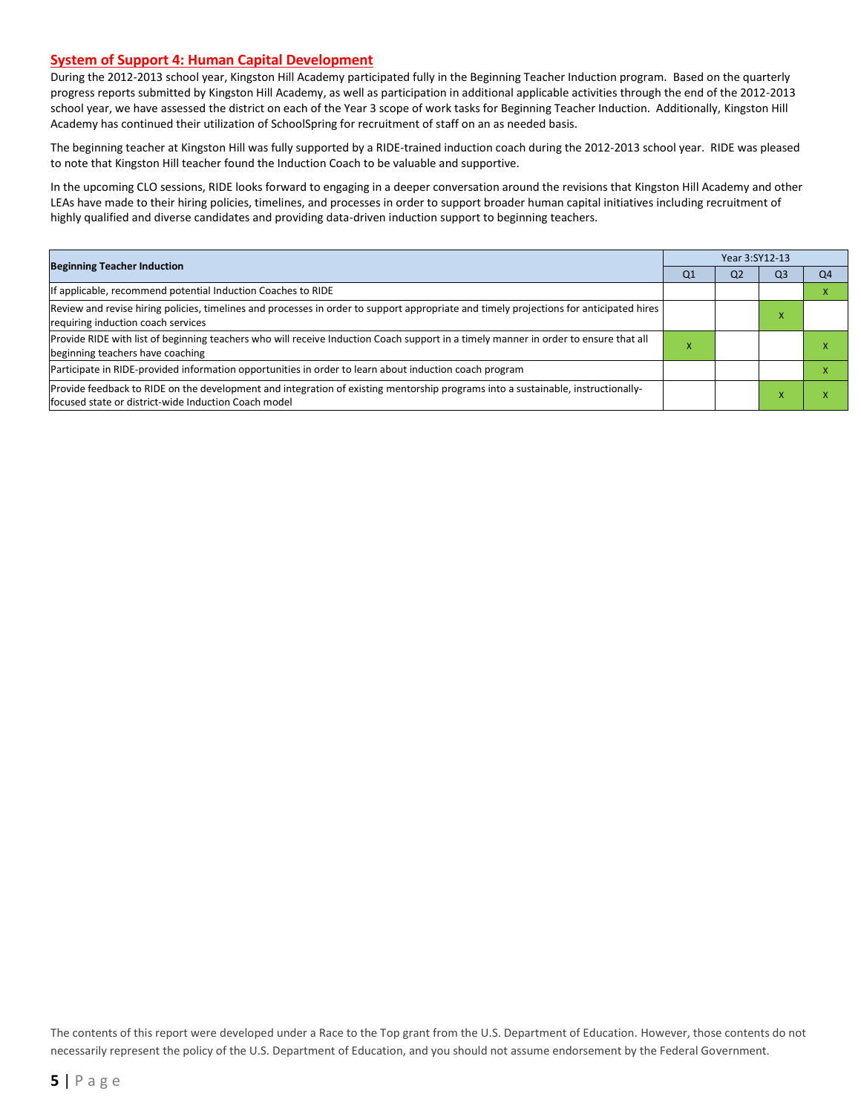#### **System of Support 4: Human Capital Development**

During the 2012-2013 school year, Kingston Hill Academy participated fully in the Beginning Teacher Induction program. Based on the quarterly progress reports submitted by Kingston Hill Academy, as well as participation in additional applicable activities through the end of the 2012-2013 school year, we have assessed the district on each of the Year 3 scope of work tasks for Beginning Teacher Induction. Additionally, Kingston Hill Academy has continued their utilization of SchoolSpring for recruitment of staff on an as needed basis.

The beginning teacher at Kingston Hill was fully supported by a RIDE-trained induction coach during the 2012-2013 school year. RIDE was pleased to note that Kingston Hill teacher found the Induction Coach to be valuable and supportive.

In the upcoming CLO sessions, RIDE looks forward to engaging in a deeper conversation around the revisions that Kingston Hill Academy and other LEAs have made to their hiring policies, timelines, and processes in order to support broader human capital initiatives including recruitment of highly qualified and diverse candidates and providing data-driven induction support to beginning teachers.

|                                                                                                                                                                                          | Year 3:SY12-13 |                |    |    |  |  |  |
|------------------------------------------------------------------------------------------------------------------------------------------------------------------------------------------|----------------|----------------|----|----|--|--|--|
| <b>Beginning Teacher Induction</b>                                                                                                                                                       | Q <sub>1</sub> | Q <sub>2</sub> | Q3 | Q4 |  |  |  |
| If applicable, recommend potential Induction Coaches to RIDE                                                                                                                             |                |                |    |    |  |  |  |
| Review and revise hiring policies, timelines and processes in order to support appropriate and timely projections for anticipated hires<br>requiring induction coach services            |                |                |    |    |  |  |  |
| Provide RIDE with list of beginning teachers who will receive Induction Coach support in a timely manner in order to ensure that all<br>beginning teachers have coaching                 | $\lambda$      |                |    |    |  |  |  |
| Participate in RIDE-provided information opportunities in order to learn about induction coach program                                                                                   |                |                |    |    |  |  |  |
| Provide feedback to RIDE on the development and integration of existing mentorship programs into a sustainable, instructionally-<br>focused state or district-wide Induction Coach model |                |                |    |    |  |  |  |

The contents of this report were developed under a Race to the Top grant from the U.S. Department of Education. However, those contents do not necessarily represent the policy of the U.S. Department of Education, and you should not assume endorsement by the Federal Government.